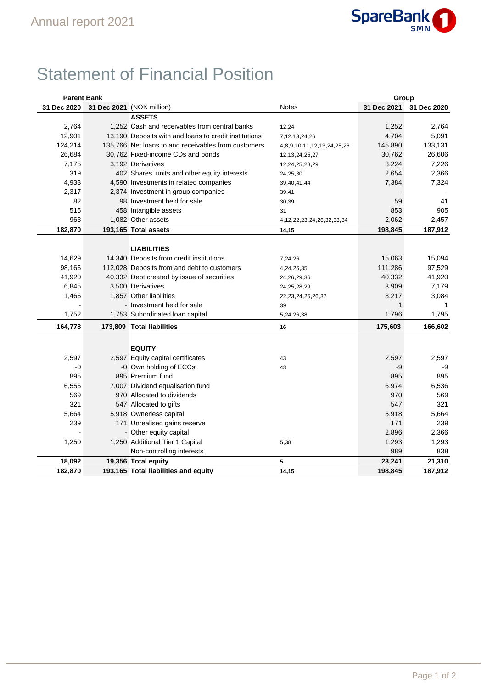

## Statement of Financial Position

| <b>Parent Bank</b> |                                                       |                                   | Group        |             |
|--------------------|-------------------------------------------------------|-----------------------------------|--------------|-------------|
| 31 Dec 2020        | 31 Dec 2021 (NOK million)                             | <b>Notes</b>                      | 31 Dec 2021  | 31 Dec 2020 |
|                    | <b>ASSETS</b>                                         |                                   |              |             |
| 2,764              | 1.252 Cash and receivables from central banks         | 12,24                             | 1,252        | 2,764       |
| 12,901             | 13,190 Deposits with and loans to credit institutions | 7, 12, 13, 24, 26                 | 4,704        | 5,091       |
| 124,214            | 135,766 Net loans to and receivables from customers   | 4,8,9,10,11,12,13,24,25,26        | 145,890      | 133,131     |
| 26,684             | 30,762 Fixed-income CDs and bonds                     | 12, 13, 24, 25, 27                | 30,762       | 26,606      |
| 7,175              | 3,192 Derivatives                                     | 12,24,25,28,29                    | 3,224        | 7,226       |
| 319                | 402 Shares, units and other equity interests          | 24,25,30                          | 2,654        | 2,366       |
| 4,933              | 4,590 Investments in related companies                | 39,40,41,44                       | 7,384        | 7,324       |
| 2,317              | 2,374 Investment in group companies                   | 39,41                             |              |             |
| 82                 | 98 Investment held for sale                           | 30,39                             | 59           | 41          |
| 515                | 458 Intangible assets                                 | 31                                | 853          | 905         |
| 963                | 1,082 Other assets                                    | 4, 12, 22, 23, 24, 26, 32, 33, 34 | 2,062        | 2,457       |
| 182,870            | 193,165 Total assets                                  | 14,15                             | 198,845      | 187,912     |
|                    |                                                       |                                   |              |             |
|                    | <b>LIABILITIES</b>                                    |                                   |              |             |
| 14,629             | 14,340 Deposits from credit institutions              | 7,24,26                           | 15,063       | 15,094      |
| 98,166             | 112,028 Deposits from and debt to customers           | 4,24,26,35                        | 111,286      | 97,529      |
| 41,920             | 40,332 Debt created by issue of securities            | 24, 26, 29, 36                    | 40,332       | 41,920      |
| 6,845              | 3,500 Derivatives                                     | 24, 25, 28, 29                    | 3,909        | 7,179       |
| 1,466              | 1,857 Other liabilities                               | 22, 23, 24, 25, 26, 37            | 3,217        | 3,084       |
|                    | - Investment held for sale                            | 39                                | $\mathbf{1}$ | 1           |
| 1,752              | 1,753 Subordinated loan capital                       | 5,24,26,38                        | 1,796        | 1,795       |
| 164,778            | 173,809 Total liabilities                             | 16                                | 175,603      | 166,602     |
|                    |                                                       |                                   |              |             |
|                    | <b>EQUITY</b>                                         |                                   |              |             |
| 2,597              | 2,597 Equity capital certificates                     | 43                                | 2,597        | 2,597       |
| -0                 | -0 Own holding of ECCs                                | 43                                | -9           | -9          |
| 895                | 895 Premium fund                                      |                                   | 895          | 895         |
| 6,556              | 7,007 Dividend equalisation fund                      |                                   | 6,974        | 6,536       |
| 569                | 970 Allocated to dividends                            |                                   | 970          | 569         |
| 321                | 547 Allocated to gifts                                |                                   | 547          | 321         |
| 5,664              | 5,918 Ownerless capital                               |                                   | 5,918        | 5,664       |
| 239                | 171 Unrealised gains reserve                          |                                   | 171          | 239         |
|                    | - Other equity capital                                |                                   | 2,896        | 2,366       |
| 1,250              | 1,250 Additional Tier 1 Capital                       | 5,38                              | 1,293        | 1,293       |
|                    | Non-controlling interests                             |                                   | 989          | 838         |
| 18,092             | 19,356 Total equity                                   | 5                                 | 23,241       | 21,310      |
| 182,870            | 193,165 Total liabilities and equity                  | 14,15                             | 198,845      | 187,912     |